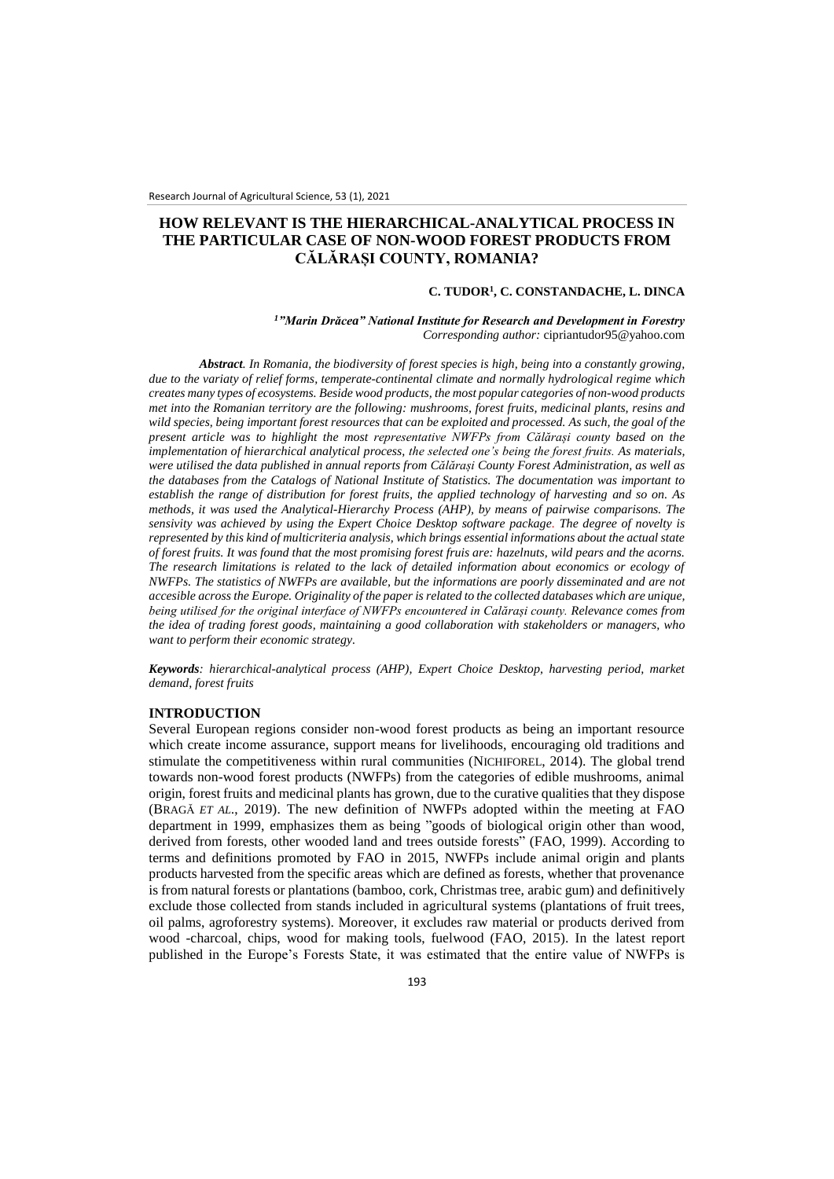# **HOW RELEVANT IS THE HIERARCHICAL-ANALYTICAL PROCESS IN THE PARTICULAR CASE OF NON-WOOD FOREST PRODUCTS FROM CĂLĂRAȘI COUNTY, ROMANIA?**

#### **C. TUDOR<sup>1</sup> , C. CONSTANDACHE, L. DINCA**

### *<sup>1</sup>"Marin Drăcea" National Institute for Research and Development in Forestry Corresponding author:* [cipriantudor95@yahoo.com](mailto:cipriantudor95@yahoo.com)

*Abstract. In Romania, the biodiversity of forest species is high, being into a constantly growing, due to the variaty of relief forms, temperate-continental climate and normally hydrological regime which creates many types of ecosystems. Beside wood products, the most popular categories of non-wood products met into the Romanian territory are the following: mushrooms, forest fruits, medicinal plants, resins and wild species, being important forest resources that can be exploited and processed. As such, the goal of the present article was to highlight the most representative NWFPs from Călărași county based on the implementation of hierarchical analytical process, the selected one's being the forest fruits. As materials, were utilised the data published in annual reports from Călărași County Forest Administration, as well as the databases from the Catalogs of National Institute of Statistics. The documentation was important to establish the range of distribution for forest fruits, the applied technology of harvesting and so on. As methods, it was used the Analytical-Hierarchy Process (AHP), by means of pairwise comparisons. The sensivity was achieved by using the Expert Choice Desktop software package. The degree of novelty is represented by this kind of multicriteria analysis, which brings essential informations about the actual state of forest fruits. It was found that the most promising forest fruis are: hazelnuts, wild pears and the acorns. The research limitations is related to the lack of detailed information about economics or ecology of NWFPs. The statistics of NWFPs are available, but the informations are poorly disseminated and are not accesible across the Europe. Originality of the paper is related to the collected databases which are unique, being utilised for the original interface of NWFPs encountered in Calărași county. Relevance comes from the idea of trading forest goods, maintaining a good collaboration with stakeholders or managers, who want to perform their economic strategy.*

*Keywords: hierarchical-analytical process (AHP), Expert Choice Desktop, harvesting period, market demand, forest fruits*

### **INTRODUCTION**

Several European regions consider non-wood forest products as being an important resource which create income assurance, support means for livelihoods, encouraging old traditions and stimulate the competitiveness within rural communities (NICHIFOREL, 2014). The global trend towards non-wood forest products (NWFPs) from the categories of edible mushrooms, animal origin, forest fruits and medicinal plants has grown, due to the curative qualities that they dispose (BRAGĂ *ET AL*., 2019). The new definition of NWFPs adopted within the meeting at FAO department in 1999, emphasizes them as being "goods of biological origin other than wood, derived from forests, other wooded land and trees outside forests" (FAO, 1999). According to terms and definitions promoted by FAO in 2015, NWFPs include animal origin and plants products harvested from the specific areas which are defined as forests, whether that provenance is from natural forests or plantations (bamboo, cork, Christmas tree, arabic gum) and definitively exclude those collected from stands included in agricultural systems (plantations of fruit trees, oil palms, agroforestry systems). Moreover, it excludes raw material or products derived from wood -charcoal, chips, wood for making tools, fuelwood (FAO, 2015). In the latest report published in the Europe's Forests State, it was estimated that the entire value of NWFPs is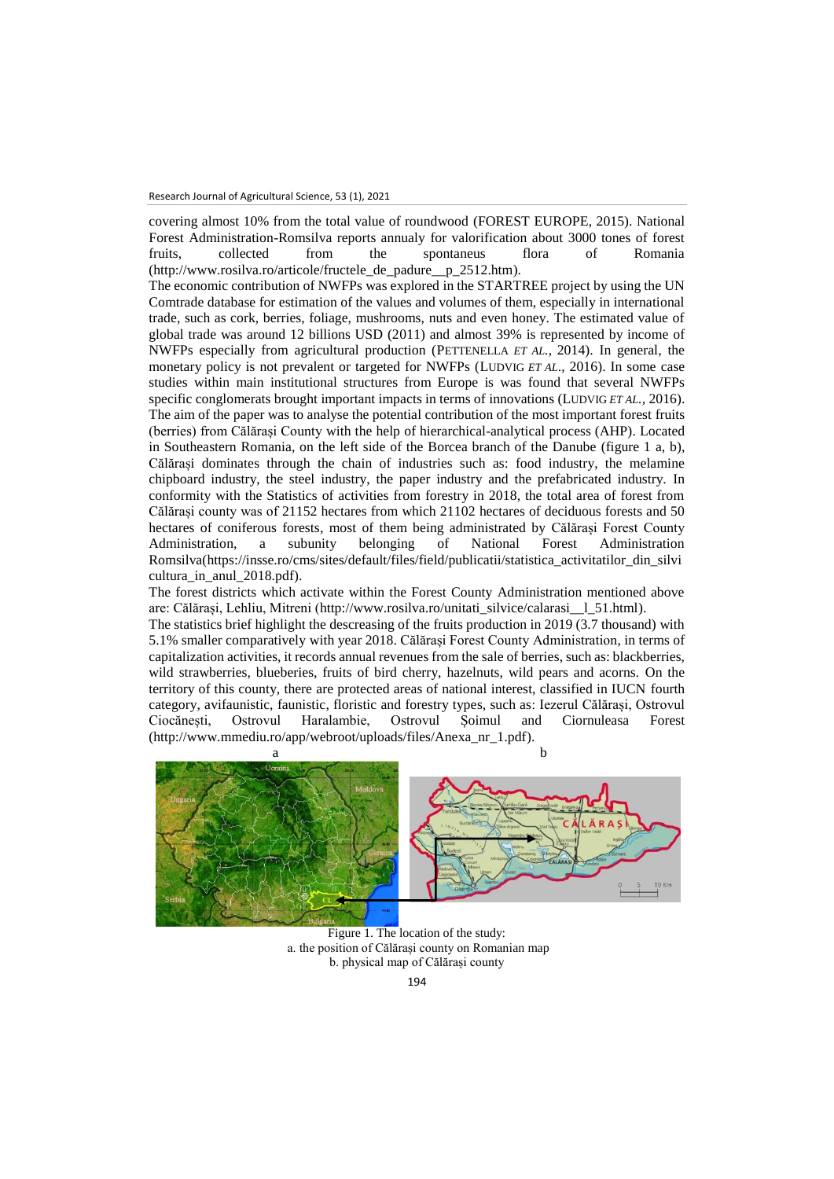covering almost 10% from the total value of roundwood (FOREST EUROPE, 2015). National Forest Administration-Romsilva reports annualy for valorification about 3000 tones of forest fruits, collected from the spontaneus flora of Romania (http://www.rosilva.ro/articole/fructele\_de\_padure\_\_p\_2512.htm).

The economic contribution of NWFPs was explored in the STARTREE project by using the UN Comtrade database for estimation of the values and volumes of them, especially in international trade, such as cork, berries, foliage, mushrooms, nuts and even honey. The estimated value of global trade was around 12 billions USD (2011) and almost 39% is represented by income of NWFPs especially from agricultural production (PETTENELLA *ET AL.,* 2014). In general, the monetary policy is not prevalent or targeted for NWFPs (LUDVIG *ET AL*., 2016). In some case studies within main institutional structures from Europe is was found that several NWFPs specific conglomerats brought important impacts in terms of innovations (LUDVIG *ET AL.,* 2016). The aim of the paper was to analyse the potential contribution of the most important forest fruits (berries) from Călărași County with the help of hierarchical-analytical process (AHP). Located in Southeastern Romania, on the left side of the Borcea branch of the Danube (figure 1 a, b), Călărași dominates through the chain of industries such as: food industry, the melamine chipboard industry, the steel industry, the paper industry and the prefabricated industry. In conformity with the Statistics of activities from forestry in 2018, the total area of forest from Călărași county was of 21152 hectares from which 21102 hectares of deciduous forests and 50 hectares of coniferous forests, most of them being administrated by Călărași Forest County<br>Administration, a subunity belonging of National Forest Administration Administration, a subunity belonging Romsilva[\(https://insse.ro/cms/sites/default/files/field/publicatii/statistica\\_activitatilor\\_din\\_silvi](https://insse.ro/cms/sites/default/files/field/publicatii/statistica_activitatilor_din_silvicultura_in_anul_2018.pdf) cultura in anul 2018.pdf).

The forest districts which activate within the Forest County Administration mentioned above are: Călărași, Lehliu, Mitreni [\(http://www.rosilva.ro/unitati\\_silvice/calarasi\\_\\_l\\_51.html\)](http://www.rosilva.ro/unitati_silvice/calarasi__l_51.html).

The statistics brief highlight the descreasing of the fruits production in 2019 (3.7 thousand) with 5.1% smaller comparatively with year 2018. Călărași Forest County Administration, in terms of capitalization activities, it records annual revenues from the sale of berries, such as: blackberries, wild strawberries, blueberies, fruits of bird cherry, hazelnuts, wild pears and acorns. On the territory of this county, there are protected areas of national interest, classified in IUCN fourth category, avifaunistic, faunistic, floristic and forestry types, such as: Iezerul Călărași, Ostrovul Ciocănești, Ostrovul Haralambie, Ostrovul Șoimul and Ciornuleasa Forest (http://www.mmediu.ro/app/webroot/uploads/files/Anexa\_nr\_1.pdf).



Figure 1. The location of the study: a. the position of Călărași county on Romanian map b. physical map of Călărași county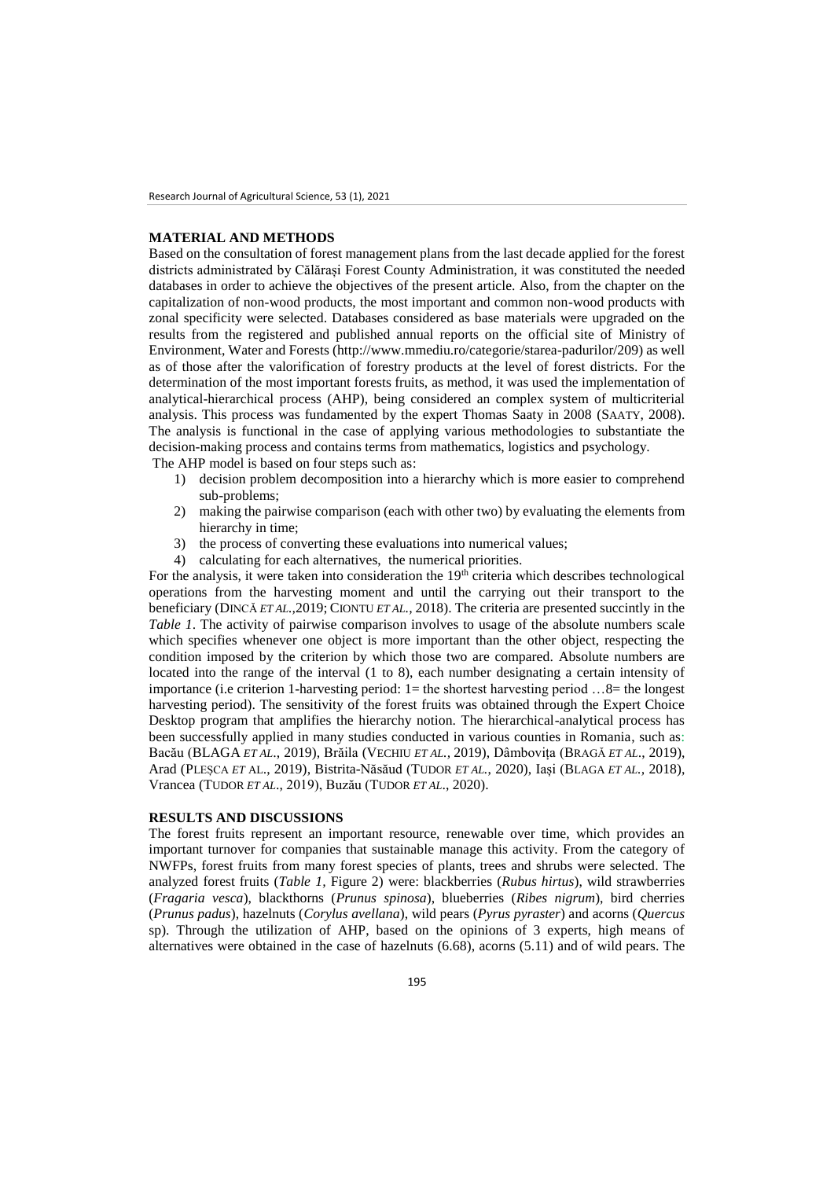## **MATERIAL AND METHODS**

Based on the consultation of forest management plans from the last decade applied for the forest districts administrated by Călărași Forest County Administration, it was constituted the needed databases in order to achieve the objectives of the present article. Also, from the chapter on the capitalization of non-wood products, the most important and common non-wood products with zonal specificity were selected. Databases considered as base materials were upgraded on the results from the registered and published annual reports on the official site of Ministry of Environment, Water and Forests (http://www.mmediu.ro/categorie/starea-padurilor/209) as well as of those after the valorification of forestry products at the level of forest districts. For the determination of the most important forests fruits, as method, it was used the implementation of analytical-hierarchical process (AHP), being considered an complex system of multicriterial analysis. This process was fundamented by the expert Thomas Saaty in 2008 (SAATY, 2008). The analysis is functional in the case of applying various methodologies to substantiate the decision-making process and contains terms from mathematics, logistics and psychology.

The AHP model is based on four steps such as:

- 1) decision problem decomposition into a hierarchy which is more easier to comprehend sub-problems;
- 2) making the pairwise comparison (each with other two) by evaluating the elements from hierarchy in time;
- 3) the process of converting these evaluations into numerical values;
- 4) calculating for each alternatives, the numerical priorities.

For the analysis, it were taken into consideration the  $19<sup>th</sup>$  criteria which describes technological operations from the harvesting moment and until the carrying out their transport to the beneficiary (DINCĂ *ET AL.,*2019; CIONTU *ET AL.,* 2018). The criteria are presented succintly in the *Table 1*. The activity of pairwise comparison involves to usage of the absolute numbers scale which specifies whenever one object is more important than the other object, respecting the condition imposed by the criterion by which those two are compared. Absolute numbers are located into the range of the interval (1 to 8), each number designating a certain intensity of importance (i.e criterion 1-harvesting period: 1= the shortest harvesting period …8= the longest harvesting period). The sensitivity of the forest fruits was obtained through the Expert Choice Desktop program that amplifies the hierarchy notion. The hierarchical-analytical process has been successfully applied in many studies conducted in various counties in Romania, such as: Bacău (BLAGA *ET AL*., 2019), Brăila (VECHIU *ET AL.,* 2019), Dâmbovița (BRAGĂ *ET AL*., 2019), Arad (PLEȘCA *ET* AL., 2019), Bistrita-Năsăud (TUDOR *ET AL.*, 2020), Iași (BLAGA *ET AL.,* 2018), Vrancea (TUDOR *ET AL*., 2019), Buzău (TUDOR *ET AL*., 2020).

## **RESULTS AND DISCUSSIONS**

The forest fruits represent an important resource, renewable over time, which provides an important turnover for companies that sustainable manage this activity. From the category of NWFPs, forest fruits from many forest species of plants, trees and shrubs were selected. The analyzed forest fruits (*Table 1,* Figure 2) were: blackberries (*Rubus hirtus*), wild strawberries (*Fragaria vesca*), blackthorns (*Prunus spinosa*), blueberries (*Ribes nigrum*), bird cherries (*Prunus padus*), hazelnuts (*Corylus avellana*), wild pears (*Pyrus pyraster*) and acorns (*Quercus*  sp). Through the utilization of AHP, based on the opinions of 3 experts, high means of alternatives were obtained in the case of hazelnuts (6.68), acorns (5.11) and of wild pears. The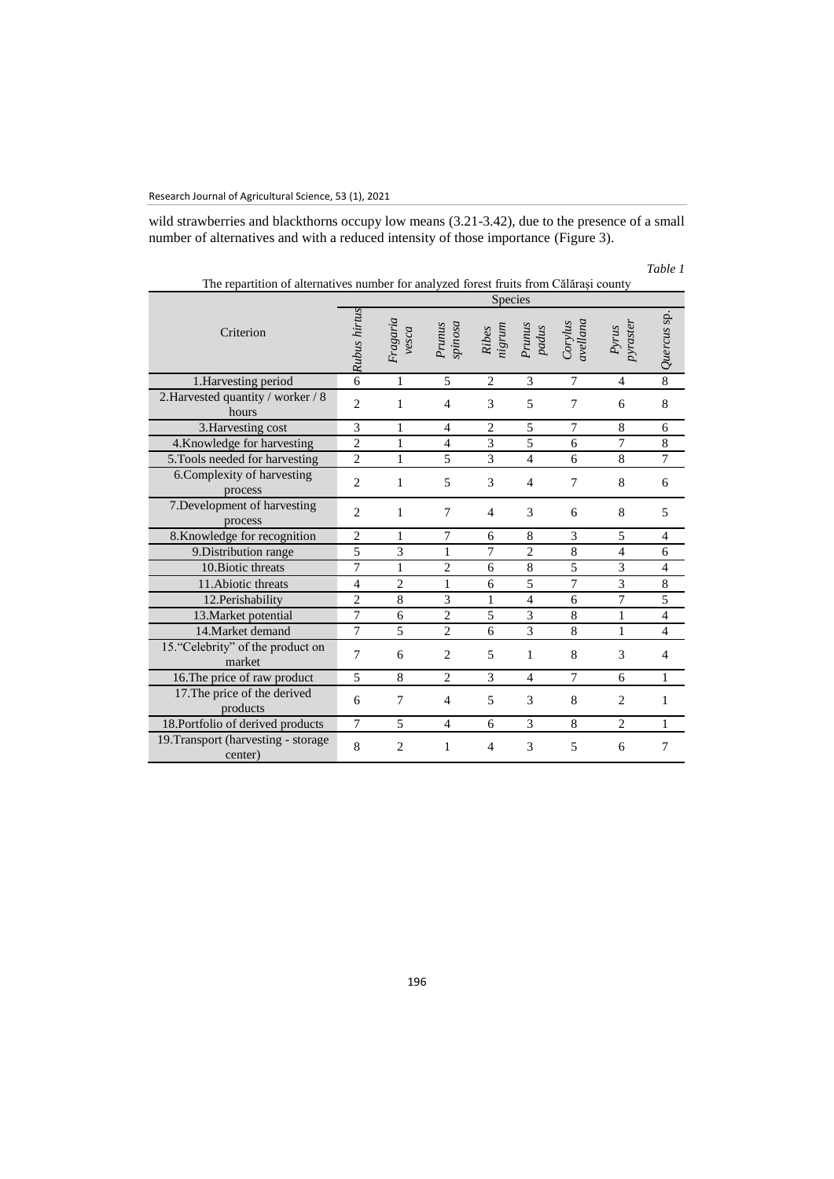wild strawberries and blackthorns occupy low means (3.21-3.42), due to the presence of a small number of alternatives and with a reduced intensity of those importance (Figure 3).

| The repartition of alternatives number for analyzed forest fruits from Călărași county |                |                   |                   |                                                                       |                 |                       |                   |                |
|----------------------------------------------------------------------------------------|----------------|-------------------|-------------------|-----------------------------------------------------------------------|-----------------|-----------------------|-------------------|----------------|
|                                                                                        | <b>Species</b> |                   |                   |                                                                       |                 |                       |                   |                |
| Criterion                                                                              | Rubus hirtus   | Fragaria<br>vesca | spinosa<br>Prunus | $\label{eq:relaxation} \begin{array}{ll} Ribes \\ nigrum \end{array}$ | Prunus<br>padus | $Corylus$<br>avellana | pyraster<br>Pyrus | Quercus sp.    |
| 1. Harvesting period                                                                   | 6              | 1                 | 5                 | $\overline{2}$                                                        | 3               | $\overline{7}$        | $\overline{4}$    | $\overline{8}$ |
| 2. Harvested quantity / worker / 8<br>hours                                            | $\overline{c}$ | 1                 | $\overline{4}$    | 3                                                                     | 5               | 7                     | 6                 | 8              |
| 3. Harvesting cost                                                                     | 3              | 1                 | 4                 | $\overline{c}$                                                        | 5               | $\overline{7}$        | 8                 | 6              |
| 4.Knowledge for harvesting                                                             | $\overline{2}$ | 1                 | $\overline{4}$    | 3                                                                     | 5               | 6                     | 7                 | 8              |
| 5. Tools needed for harvesting                                                         | $\overline{2}$ | 1                 | 5                 | 3                                                                     | $\overline{4}$  | 6                     | 8                 | 7              |
| 6. Complexity of harvesting<br>process                                                 | $\overline{2}$ | 1                 | 5                 | 3                                                                     | $\overline{4}$  | $\overline{7}$        | $\,$ 8 $\,$       | 6              |
| 7. Development of harvesting<br>process                                                | $\overline{c}$ | 1                 | $\tau$            | $\overline{4}$                                                        | 3               | 6                     | 8                 | 5              |
| 8. Knowledge for recognition                                                           | $\overline{c}$ | 1                 | $\overline{7}$    | 6                                                                     | 8               | 3                     | 5                 | 4              |
| 9. Distribution range                                                                  | 5              | 3                 | 1                 | 7                                                                     | $\overline{2}$  | 8                     | $\overline{4}$    | 6              |
| 10. Biotic threats                                                                     | 7              | 1                 | $\overline{c}$    | 6                                                                     | 8               | 5                     | 3                 | 4              |
| 11. Abiotic threats                                                                    | $\overline{4}$ | $\overline{2}$    | 1                 | 6                                                                     | 5               | $\overline{7}$        | 3                 | $\,8\,$        |
| 12. Perishability                                                                      | $\overline{c}$ | 8                 | 3                 | 1                                                                     | $\overline{4}$  | 6                     | 7                 | $\overline{5}$ |
| 13. Market potential                                                                   | $\tau$         | 6                 | $\overline{c}$    | 5                                                                     | $\overline{3}$  | 8                     | $\mathbf{1}$      | $\overline{4}$ |
| 14. Market demand                                                                      | $\overline{7}$ | 5                 | $\overline{2}$    | 6                                                                     | 3               | 8                     | $\mathbf{1}$      | $\overline{4}$ |
| 15. "Celebrity" of the product on<br>market                                            | $\overline{7}$ | 6                 | $\overline{c}$    | 5                                                                     | $\mathbf{1}$    | 8                     | 3                 | 4              |
| 16. The price of raw product                                                           | 5              | 8                 | $\overline{2}$    | 3                                                                     | $\overline{4}$  | $\tau$                | 6                 | 1              |
| 17. The price of the derived<br>products                                               | 6              | 7                 | $\overline{4}$    | 5                                                                     | 3               | 8                     | $\overline{2}$    | 1              |
| 18. Portfolio of derived products                                                      | $\tau$         | 5                 | $\overline{4}$    | 6                                                                     | 3               | 8                     | $\mathfrak{2}$    | 1              |
| 19. Transport (harvesting - storage<br>center)                                         | 8              | $\overline{2}$    | 1                 | $\overline{4}$                                                        | 3               | 5                     | 6                 | $\tau$         |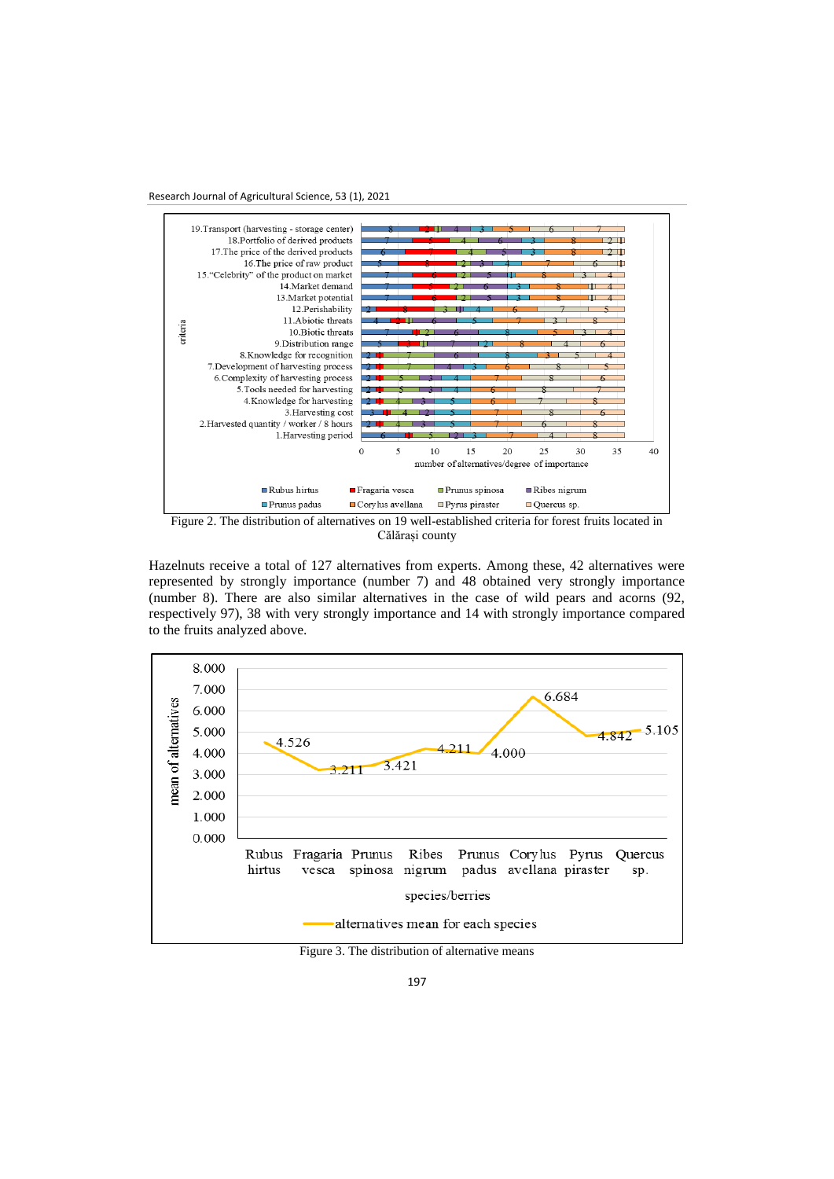Research Journal of Agricultural Science, 53 (1), 2021



Călărași county

Hazelnuts receive a total of 127 alternatives from experts. Among these, 42 alternatives were represented by strongly importance (number 7) and 48 obtained very strongly importance (number 8). There are also similar alternatives in the case of wild pears and acorns (92, respectively 97), 38 with very strongly importance and 14 with strongly importance compared to the fruits analyzed above.



Figure 3. The distribution of alternative means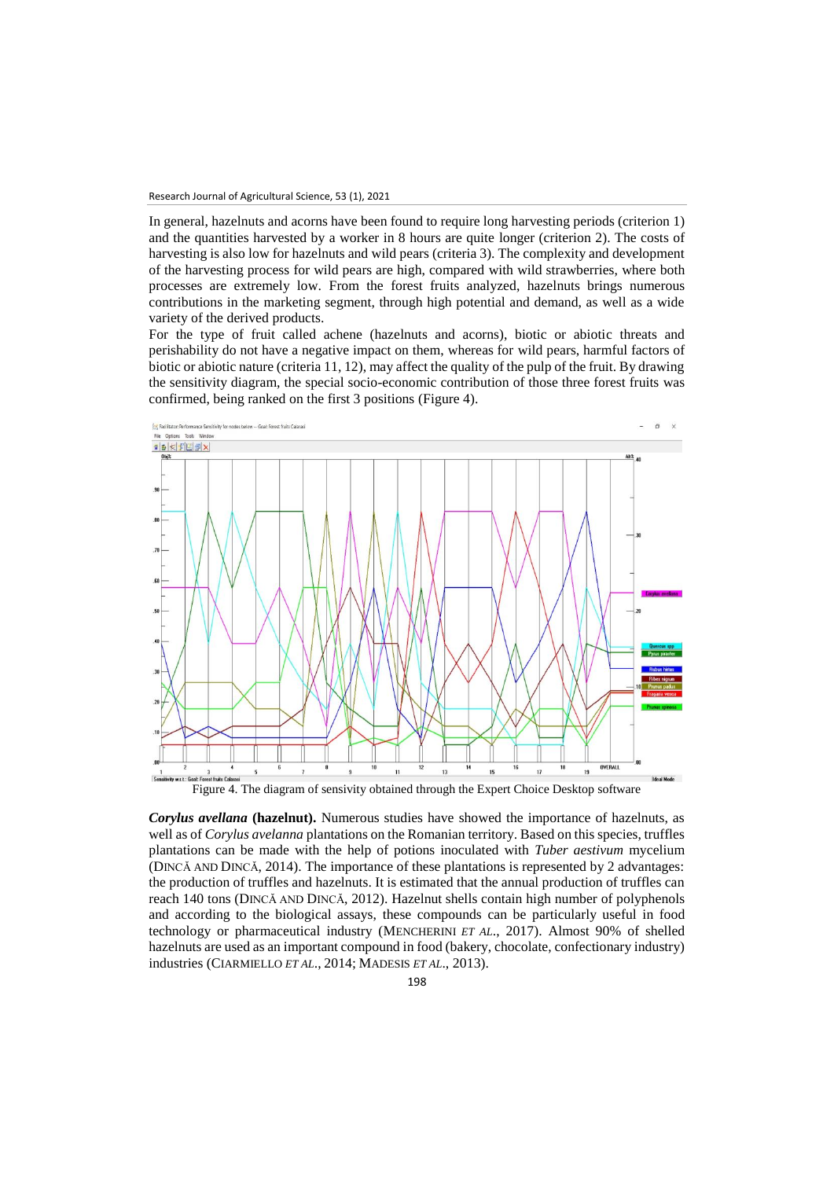In general, hazelnuts and acorns have been found to require long harvesting periods (criterion 1) and the quantities harvested by a worker in 8 hours are quite longer (criterion 2). The costs of harvesting is also low for hazelnuts and wild pears (criteria 3). The complexity and development of the harvesting process for wild pears are high, compared with wild strawberries, where both processes are extremely low. From the forest fruits analyzed, hazelnuts brings numerous contributions in the marketing segment, through high potential and demand, as well as a wide variety of the derived products.

For the type of fruit called achene (hazelnuts and acorns), biotic or abiotic threats and perishability do not have a negative impact on them, whereas for wild pears, harmful factors of biotic or abiotic nature (criteria 11, 12), may affect the quality of the pulp of the fruit. By drawing the sensitivity diagram, the special socio-economic contribution of those three forest fruits was confirmed, being ranked on the first 3 positions (Figure 4).



*Corylus avellana* **(hazelnut).** Numerous studies have showed the importance of hazelnuts, as well as of *Corylus avelanna* plantations on the Romanian territory. Based on this species, truffles plantations can be made with the help of potions inoculated with *Tuber aestivum* mycelium (DINCĂ AND DINCĂ, 2014). The importance of these plantations is represented by 2 advantages: the production of truffles and hazelnuts. It is estimated that the annual production of truffles can reach 140 tons (DINCĂ AND DINCĂ, 2012). Hazelnut shells contain high number of polyphenols and according to the biological assays, these compounds can be particularly useful in food technology or pharmaceutical industry (MENCHERINI *ET AL*., 2017). Almost 90% of shelled hazelnuts are used as an important compound in food (bakery, chocolate, confectionary industry) industries (CIARMIELLO *ET AL*., 2014; MADESIS *ET AL*., 2013).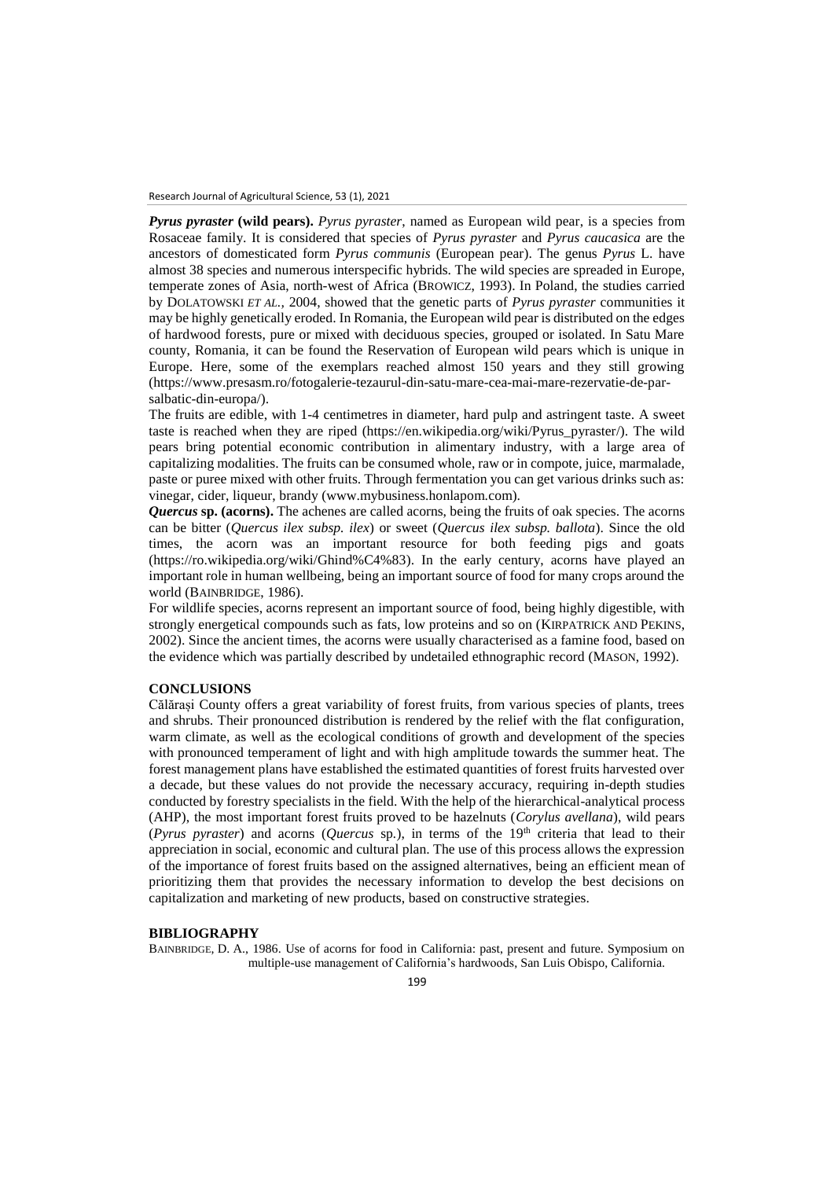*Pyrus pyraster* **(wild pears).** *Pyrus pyraster*, named as European wild pear, is a species from Rosaceae family. It is considered that species of *Pyrus pyraster* and *Pyrus caucasica* are the ancestors of domesticated form *Pyrus communis* (European pear). The genus *Pyrus* L. have almost 38 species and numerous interspecific hybrids. The wild species are spreaded in Europe, temperate zones of Asia, north-west of Africa (BROWICZ, 1993). In Poland, the studies carried by DOLATOWSKI *ET AL.,* 2004, showed that the genetic parts of *Pyrus pyraster* communities it may be highly genetically eroded. In Romania, the European wild pear is distributed on the edges of hardwood forests, pure or mixed with deciduous species, grouped or isolated. In Satu Mare county, Romania, it can be found the Reservation of European wild pears which is unique in Europe. Here, some of the exemplars reached almost 150 years and they still growing (https://www.presasm.ro/fotogalerie-tezaurul-din-satu-mare-cea-mai-mare-rezervatie-de-parsalbatic-din-europa/).

The fruits are edible, with 1-4 centimetres in diameter, hard pulp and astringent taste. A sweet taste is reached when they are riped (https://en.wikipedia.org/wiki/Pyrus\_pyraster/). The wild pears bring potential economic contribution in alimentary industry, with a large area of capitalizing modalities. The fruits can be consumed whole, raw or in compote, juice, marmalade, paste or puree mixed with other fruits. Through fermentation you can get various drinks such as: vinegar, cider, liqueur, brandy (www.mybusiness.honlapom.com).

*Quercus* **sp. (acorns).** The achenes are called acorns, being the fruits of oak species. The acorns can be bitter (*Quercus ilex subsp. ilex*) or sweet (*Quercus ilex subsp. ballota*). Since the old times, the acorn was an important resource for both feeding pigs and goats (https://ro.wikipedia.org/wiki/Ghind%C4%83). In the early century, acorns have played an important role in human wellbeing, being an important source of food for many crops around the world (BAINBRIDGE, 1986).

For wildlife species, acorns represent an important source of food, being highly digestible, with strongly energetical compounds such as fats, low proteins and so on (KIRPATRICK AND PEKINS, 2002). Since the ancient times, the acorns were usually characterised as a famine food, based on the evidence which was partially described by undetailed ethnographic record (MASON, 1992).

# **CONCLUSIONS**

Călărași County offers a great variability of forest fruits, from various species of plants, trees and shrubs. Their pronounced distribution is rendered by the relief with the flat configuration, warm climate, as well as the ecological conditions of growth and development of the species with pronounced temperament of light and with high amplitude towards the summer heat. The forest management plans have established the estimated quantities of forest fruits harvested over a decade, but these values do not provide the necessary accuracy, requiring in-depth studies conducted by forestry specialists in the field. With the help of the hierarchical-analytical process (AHP), the most important forest fruits proved to be hazelnuts (*Corylus avellana*), wild pears (*Pyrus pyraster*) and acorns (*Quercus* sp*.*), in terms of the 19th criteria that lead to their appreciation in social, economic and cultural plan. The use of this process allows the expression of the importance of forest fruits based on the assigned alternatives, being an efficient mean of prioritizing them that provides the necessary information to develop the best decisions on capitalization and marketing of new products, based on constructive strategies.

### **BIBLIOGRAPHY**

BAINBRIDGE, D. A., 1986. Use of acorns for food in California: past, present and future. Symposium on multiple-use management of California's hardwoods, San Luis Obispo, California.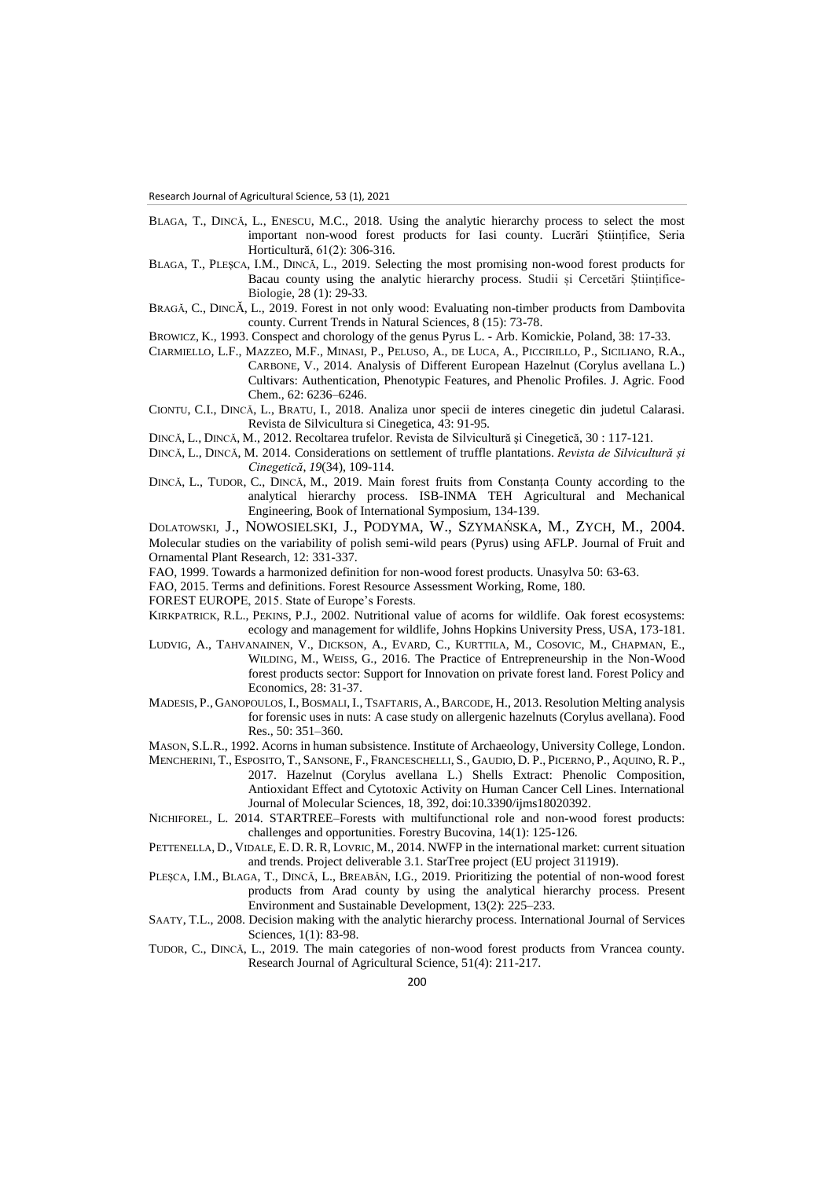- BLAGA, T., DINCĂ, L., ENESCU, M.C., 2018. Using the analytic hierarchy process to select the most important non-wood forest products for Iasi county. Lucrări Științifice, Seria Horticultură, 61(2): 306-316.
- BLAGA, T., PLEŞCA, I.M., DINCĂ, L., 2019. Selecting the most promising non-wood forest products for Bacau county using the analytic hierarchy process. Studii și Cercetări Științifice-Biologie, 28 (1): 29-33.
- BRAGĂ, C., DINCĂ, L., 2019. Forest in not only wood: Evaluating non-timber products from Dambovita county. Current Trends in Natural Sciences, 8 (15): 73-78.

BROWICZ, K., 1993. Conspect and chorology of the genus Pyrus L. - Arb. Komickie, Poland, 38: 17-33.

- CIARMIELLO, L.F., MAZZEO, M.F., MINASI, P., PELUSO, A., DE LUCA, A., PICCIRILLO, P., SICILIANO, R.A., CARBONE, V., 2014. Analysis of Different European Hazelnut (Corylus avellana L.) Cultivars: Authentication, Phenotypic Features, and Phenolic Profiles. J. Agric. Food Chem., 62: 6236–6246.
- CIONTU, C.I., DINCĂ, L., BRATU, I., 2018. Analiza unor specii de interes cinegetic din judetul Calarasi. Revista de Silvicultura si Cinegetica, 43: 91-95.
- DINCĂ, L., DINCĂ, M., 2012. Recoltarea trufelor. Revista de Silvicultură şi Cinegetică, 30 : 117-121.
- DINCĂ, L., DINCĂ, M. 2014. Considerations on settlement of truffle plantations. *Revista de Silvicultură și Cinegetică*, *19*(34), 109-114.
- DINCĂ, L., TUDOR, C., DINCĂ, M., 2019. Main forest fruits from Constanța County according to the analytical hierarchy process. ISB-INMA TEH Agricultural and Mechanical Engineering, Book of International Symposium, 134-139.

DOLATOWSKI, J., NOWOSIELSKI, J., PODYMA, W., SZYMAŃSKA, M., ZYCH, M., 2004. Molecular studies on the variability of polish semi-wild pears (Pyrus) using AFLP. Journal of Fruit and Ornamental Plant Research, 12: 331-337.

- FAO, 1999. Towards a harmonized definition for non-wood forest products. Unasylva 50: 63-63.
- FAO, 2015. Terms and definitions. Forest Resource Assessment Working, Rome, 180.
- FOREST EUROPE, 2015. State of Europe's Forests.
- KIRKPATRICK, R.L., PEKINS, P.J., 2002. Nutritional value of acorns for wildlife. Oak forest ecosystems: ecology and management for wildlife, Johns Hopkins University Press, USA, 173-181.
- LUDVIG, A., TAHVANAINEN, V., DICKSON, A., EVARD, C., KURTTILA, M., COSOVIC, M., CHAPMAN, E., WILDING, M., WEISS, G., 2016. The Practice of Entrepreneurship in the Non-Wood forest products sector: Support for Innovation on private forest land. Forest Policy and Economics, 28: 31-37.
- MADESIS, P., GANOPOULOS, I.,BOSMALI, I., TSAFTARIS, A., BARCODE, H., 2013. Resolution Melting analysis for forensic uses in nuts: A case study on allergenic hazelnuts (Corylus avellana). Food Res., 50: 351–360.
- MASON, S.L.R., 1992. Acorns in human subsistence. Institute of Archaeology, University College, London.
- MENCHERINI, T., ESPOSITO, T., SANSONE, F., FRANCESCHELLI, S., GAUDIO, D. P., PICERNO, P., AQUINO, R. P., 2017. Hazelnut (Corylus avellana L.) Shells Extract: Phenolic Composition, Antioxidant Effect and Cytotoxic Activity on Human Cancer Cell Lines. International Journal of Molecular Sciences, 18, 392, doi:10.3390/ijms18020392.
- NICHIFOREL, L. 2014. STARTREE–Forests with multifunctional role and non-wood forest products: challenges and opportunities. Forestry Bucovina, 14(1): 125-126.
- PETTENELLA, D., VIDALE, E. D. R.R, LOVRIC, M., 2014. NWFP in the international market: current situation and trends. Project deliverable 3.1. StarTree project (EU project 311919).
- PLEȘCA, I.M., BLAGA, T., DINCĂ, L., BREABĂN, I.G., 2019. Prioritizing the potential of non-wood forest products from Arad county by using the analytical hierarchy process. Present Environment and Sustainable Development, 13(2): 225–233.
- SAATY, T.L., 2008. Decision making with the analytic hierarchy process. International Journal of Services Sciences, 1(1): 83-98.
- TUDOR, C., DINCĂ, L., 2019. The main categories of non-wood forest products from Vrancea county. Research Journal of Agricultural Science, 51(4): 211-217.